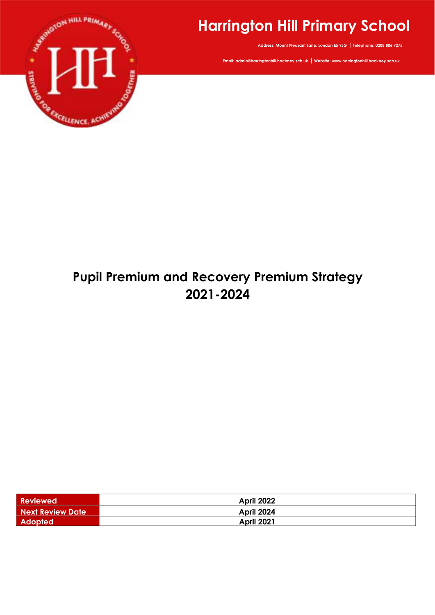

# **Harrington Hill Primary School**

**Address: Mount Pleasant Lane, London E5 9JG | Telephone: 0208 806 7275**

**Email: admin@harringtonhill.hackney.sch.uk | Website: www.harringtonhill.hackney.sch.uk**

# **Pupil Premium and Recovery Premium Strategy 2021-2024**

| <b>Reviewed</b>         | <b>April 2022</b> |
|-------------------------|-------------------|
| <b>Next Review Date</b> | April 2024        |
| Adopted                 | <b>April 2021</b> |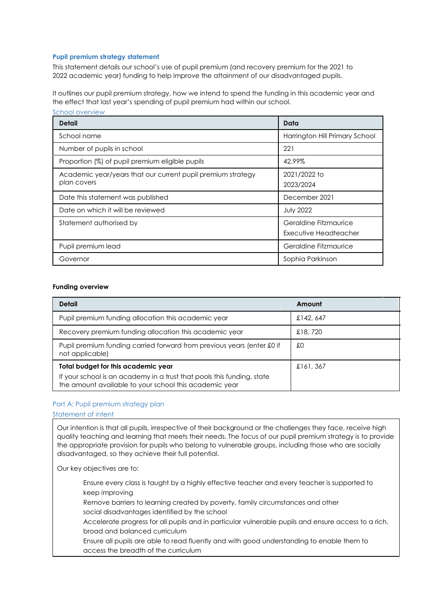## **Pupil premium strategy statement**

This statement details our school's use of pupil premium (and recovery premium for the 2021 to 2022 academic year) funding to help improve the attainment of our disadvantaged pupils.

It outlines our pupil premium strategy, how we intend to spend the funding in this academic year and the effect that last year's spending of pupil premium had within our school. School overview

| <b>Detail</b>                                                              | Data                                           |
|----------------------------------------------------------------------------|------------------------------------------------|
| School name                                                                | Harrington Hill Primary School                 |
| Number of pupils in school                                                 | 221                                            |
| Proportion (%) of pupil premium eligible pupils                            | 42.99%                                         |
| Academic year/years that our current pupil premium strategy<br>plan covers | 2021/2022 to<br>2023/2024                      |
| Date this statement was published                                          | December 2021                                  |
| Date on which it will be reviewed                                          | <b>July 2022</b>                               |
| Statement authorised by                                                    | Geraldine Fitzmaurice<br>Executive Headteacher |
| Pupil premium lead                                                         | Geraldine Fitzmaurice                          |
| Governor                                                                   | Sophia Parkinson                               |

#### **Funding overview**

| <b>Detail</b>                                                                                                                    | Amount   |
|----------------------------------------------------------------------------------------------------------------------------------|----------|
| Pupil premium funding allocation this academic year                                                                              | £142,647 |
| Recovery premium funding allocation this academic year                                                                           | £18,720  |
| Pupil premium funding carried forward from previous years (enter £0 if<br>not applicable)                                        | £О       |
| Total budget for this academic year                                                                                              | £161,367 |
| If your school is an academy in a trust that pools this funding, state<br>the amount available to your school this academic year |          |

#### Part A: Pupil premium strategy plan

Statement of intent

Our intention is that all pupils, irrespective of their background or the challenges they face, receive high quality teaching and learning that meets their needs. The focus of our pupil premium strategy is to provide the appropriate provision for pupils who belong to vulnerable groups, including those who are socially disadvantaged, so they achieve their full potential.

Our key objectives are to:

Ensure every class is taught by a highly effective teacher and every teacher is supported to keep improving

Remove barriers to learning created by poverty, family circumstances and other social disadvantages identified by the school

Accelerate progress for all pupils and in particular vulnerable pupils and ensure access to a rich, broad and balanced curriculum

Ensure all pupils are able to read fluently and with good understanding to enable them to access the breadth of the curriculum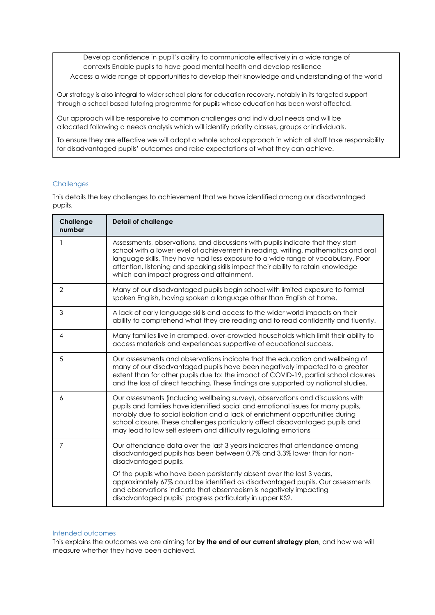Develop confidence in pupil's ability to communicate effectively in a wide range of contexts Enable pupils to have good mental health and develop resilience

Access a wide range of opportunities to develop their knowledge and understanding of the world

Our strategy is also integral to wider school plans for education recovery, notably in its targeted support through a school based tutoring programme for pupils whose education has been worst affected.

Our approach will be responsive to common challenges and individual needs and will be allocated following a needs analysis which will identify priority classes, groups or individuals.

To ensure they are effective we will adopt a whole school approach in which all staff take responsibility for disadvantaged pupils' outcomes and raise expectations of what they can achieve.

## **Challenges**

This details the key challenges to achievement that we have identified among our disadvantaged pupils.

| Challenge<br>number | <b>Detail of challenge</b>                                                                                                                                                                                                                                                                                                                                                                              |
|---------------------|---------------------------------------------------------------------------------------------------------------------------------------------------------------------------------------------------------------------------------------------------------------------------------------------------------------------------------------------------------------------------------------------------------|
|                     | Assessments, observations, and discussions with pupils indicate that they start<br>school with a lower level of achievement in reading, writing, mathematics and oral<br>language skills. They have had less exposure to a wide range of vocabulary. Poor<br>attention, listening and speaking skills impact their ability to retain knowledge<br>which can impact progress and attainment.             |
| $\overline{2}$      | Many of our disadvantaged pupils begin school with limited exposure to formal<br>spoken English, having spoken a language other than English at home.                                                                                                                                                                                                                                                   |
| 3                   | A lack of early language skills and access to the wider world impacts on their<br>ability to comprehend what they are reading and to read confidently and fluently.                                                                                                                                                                                                                                     |
| $\overline{4}$      | Many families live in cramped, over-crowded households which limit their ability to<br>access materials and experiences supportive of educational success.                                                                                                                                                                                                                                              |
| 5                   | Our assessments and observations indicate that the education and wellbeing of<br>many of our disadvantaged pupils have been negatively impacted to a greater<br>extent than for other pupils due to: the impact of COVID-19, partial school closures<br>and the loss of direct teaching. These findings are supported by national studies.                                                              |
| 6                   | Our assessments (including wellbeing survey), observations and discussions with<br>pupils and families have identified social and emotional issues for many pupils,<br>notably due to social isolation and a lack of enrichment opportunities during<br>school closure. These challenges particularly affect disadvantaged pupils and<br>may lead to low self esteem and difficulty regulating emotions |
| $\overline{7}$      | Our attendance data over the last 3 years indicates that attendance among<br>disadvantaged pupils has been between 0.7% and 3.3% lower than for non-<br>disadvantaged pupils.                                                                                                                                                                                                                           |
|                     | Of the pupils who have been persistently absent over the last 3 years,<br>approximately 67% could be identified as disadvantaged pupils. Our assessments<br>and observations indicate that absenteeism is negatively impacting<br>disadvantaged pupils' progress particularly in upper KS2.                                                                                                             |

### Intended outcomes

This explains the outcomes we are aiming for **by the end of our current strategy plan**, and how we will measure whether they have been achieved.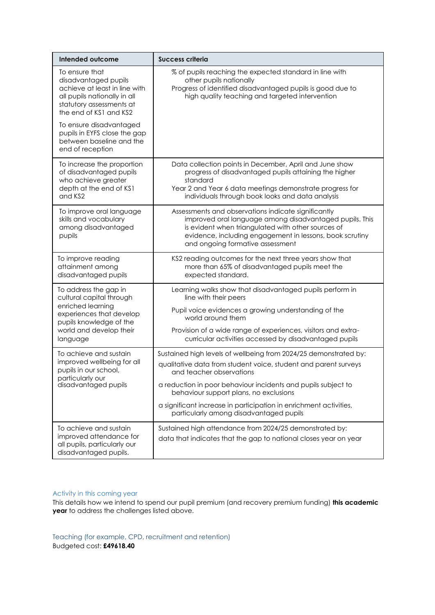| <b>Intended outcome</b>                                                                                                                                                                  | <b>Success criteria</b>                                                                                                                                                                                                                                              |
|------------------------------------------------------------------------------------------------------------------------------------------------------------------------------------------|----------------------------------------------------------------------------------------------------------------------------------------------------------------------------------------------------------------------------------------------------------------------|
| To ensure that<br>disadvantaged pupils<br>achieve at least in line with<br>all pupils nationally in all<br>statutory assessments at<br>the end of KS1 and KS2<br>To ensure disadvantaged | % of pupils reaching the expected standard in line with<br>other pupils nationally<br>Progress of identified disadvantaged pupils is good due to<br>high quality teaching and targeted intervention                                                                  |
| pupils in EYFS close the gap<br>between baseline and the<br>end of reception                                                                                                             |                                                                                                                                                                                                                                                                      |
| To increase the proportion<br>of disadvantaged pupils<br>who achieve greater<br>depth at the end of KS1<br>and KS2                                                                       | Data collection points in December, April and June show<br>progress of disadvantaged pupils attaining the higher<br>standard<br>Year 2 and Year 6 data meetings demonstrate progress for<br>individuals through book looks and data analysis                         |
| To improve oral language<br>skills and vocabulary<br>among disadvantaged<br>pupils                                                                                                       | Assessments and observations indicate significantly<br>improved oral language among disadvantaged pupils. This<br>is evident when triangulated with other sources of<br>evidence, including engagement in lessons, book scrutiny<br>and ongoing formative assessment |
| To improve reading<br>attainment among<br>disadvantaged pupils                                                                                                                           | KS2 reading outcomes for the next three years show that<br>more than 65% of disadvantaged pupils meet the<br>expected standard.                                                                                                                                      |
| To address the gap in<br>cultural capital through                                                                                                                                        | Learning walks show that disadvantaged pupils perform in<br>line with their peers                                                                                                                                                                                    |
| enriched learning<br>experiences that develop<br>pupils knowledge of the<br>world and develop their<br>language                                                                          | Pupil voice evidences a growing understanding of the<br>world around them                                                                                                                                                                                            |
|                                                                                                                                                                                          | Provision of a wide range of experiences, visitors and extra-<br>curricular activities accessed by disadvantaged pupils                                                                                                                                              |
| To achieve and sustain<br>improved wellbeing for all<br>pupils in our school,<br>particularly our<br>disadvantaged pupils                                                                | Sustained high levels of wellbeing from 2024/25 demonstrated by:<br>qualitative data from student voice, student and parent surveys<br>and teacher observations                                                                                                      |
|                                                                                                                                                                                          | a reduction in poor behaviour incidents and pupils subject to<br>behaviour support plans, no exclusions                                                                                                                                                              |
|                                                                                                                                                                                          | a significant increase in participation in enrichment activities,<br>particularly among disadvantaged pupils                                                                                                                                                         |
| To achieve and sustain<br>improved attendance for<br>all pupils, particularly our<br>disadvantaged pupils.                                                                               | Sustained high attendance from 2024/25 demonstrated by:<br>data that indicates that the gap to national closes year on year                                                                                                                                          |

## Activity in this coming year

This details how we intend to spend our pupil premium (and recovery premium funding) **this academic year** to address the challenges listed above.

Teaching (for example, CPD, recruitment and retention) Budgeted cost: **£49618.40**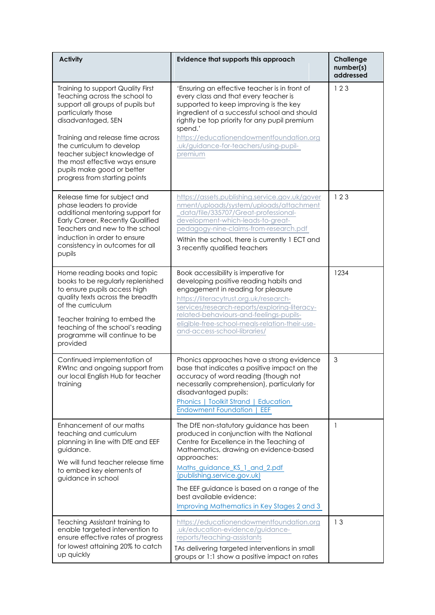| <b>Activity</b>                                                                                                                                                                                                                                                                                                                                      | Evidence that supports this approach                                                                                                                                                                                                                                                                                                                                                | Challenge<br>number(s)<br>addressed |
|------------------------------------------------------------------------------------------------------------------------------------------------------------------------------------------------------------------------------------------------------------------------------------------------------------------------------------------------------|-------------------------------------------------------------------------------------------------------------------------------------------------------------------------------------------------------------------------------------------------------------------------------------------------------------------------------------------------------------------------------------|-------------------------------------|
| Training to support Quality First<br>Teaching across the school to<br>support all groups of pupils but<br>particularly those<br>disadvantaged, SEN<br>Training and release time across<br>the curriculum to develop<br>teacher subject knowledge of<br>the most effective ways ensure<br>pupils make good or better<br>progress from starting points | 'Ensuring an effective teacher is in front of<br>every class and that every teacher is<br>supported to keep improving is the key<br>ingredient of a successful school and should<br>rightly be top priority for any pupil premium<br>spend.'<br>https://educationendowmentfoundation.org<br>.uk/guidance-for-teachers/using-pupil-<br>premium                                       | 123                                 |
| Release time for subject and<br>phase leaders to provide<br>additional mentoring support for<br>Early Career, Recently Qualified<br>Teachers and new to the school<br>induction in order to ensure<br>consistency in outcomes for all<br>pupils                                                                                                      | https://assets.publishing.service.gov.uk/gover<br>nment/uploads/system/uploads/attachment<br>data/file/335707/Great-professional-<br>development-which-leads-to-great-<br>pedagogy-nine-claims-from-research.pdf<br>Within the school, there is currently 1 ECT and<br>3 recently qualified teachers                                                                                | 123                                 |
| Home reading books and topic<br>books to be regularly replenished<br>to ensure pupils access high<br>quality texts across the breadth<br>of the curriculum<br>Teacher training to embed the<br>teaching of the school's reading<br>programme will continue to be<br>provided                                                                         | Book accessibility is imperative for<br>developing positive reading habits and<br>engagement in reading for pleasure<br>https://literacytrust.org.uk/research-<br>services/research-reports/exploring-literacy-<br>related-behaviours-and-feelings-pupils-<br>eligible-free-school-meals-relation-their-use-<br>and-access-school-libraries/                                        | 1234                                |
| Continued implementation of<br>RWInc and ongoing support from<br>our local English Hub for teacher<br>training                                                                                                                                                                                                                                       | Phonics approaches have a strong evidence<br>base that indicates a positive impact on the<br>accuracy of word reading (though not<br>necessarily comprehension), particularly for<br>disadvantaged pupils:<br>Phonics   Toolkit Strand   Education<br><b>Endowment Foundation</b><br>EEF                                                                                            | 3                                   |
| Enhancement of our maths<br>teaching and curriculum<br>planning in line with DfE and EEF<br>guidance.<br>We will fund teacher release time<br>to embed key elements of<br>guidance in school                                                                                                                                                         | The DfE non-statutory guidance has been<br>produced in conjunction with the National<br>Centre for Excellence in the Teaching of<br>Mathematics, drawing on evidence-based<br>approaches:<br>Maths_guidance_KS_1_and_2.pdf<br>(publishing.service.gov.uk)<br>The EEF guidance is based on a range of the<br>best available evidence:<br>Improving Mathematics in Key Stages 2 and 3 | $\mathbf{1}$                        |
| Teaching Assistant training to<br>enable targeted intervention to<br>ensure effective rates of progress<br>for lowest attaining 20% to catch<br>up quickly                                                                                                                                                                                           | https://educationendowmentfoundation.org<br>.uk/education-evidence/guidance-<br>reports/teaching-assistants<br>TAs delivering targeted interventions in small<br>groups or 1:1 show a positive impact on rates                                                                                                                                                                      | 13                                  |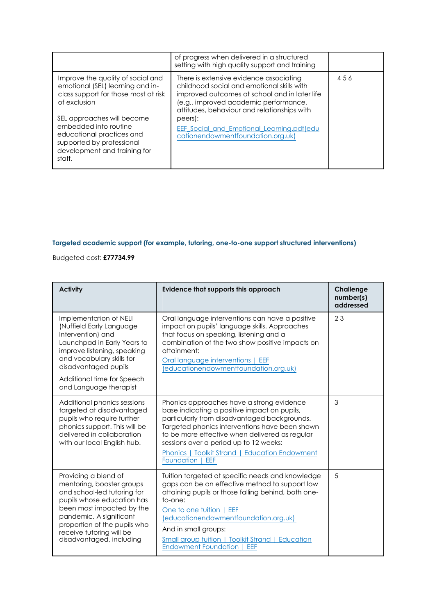|                                                                                                                                                                                                                                                                                          | of progress when delivered in a structured<br>setting with high quality support and training                                                                                                                                                                                                                                        |     |
|------------------------------------------------------------------------------------------------------------------------------------------------------------------------------------------------------------------------------------------------------------------------------------------|-------------------------------------------------------------------------------------------------------------------------------------------------------------------------------------------------------------------------------------------------------------------------------------------------------------------------------------|-----|
| Improve the quality of social and<br>emotional (SEL) learning and in-<br>class support for those most at risk<br>of exclusion<br>SEL approaches will become<br>embedded into routine<br>educational practices and<br>supported by professional<br>development and training for<br>staff. | There is extensive evidence associating<br>childhood social and emotional skills with<br>improved outcomes at school and in later life<br>(e.g., improved academic performance,<br>attitudes, behaviour and relationships with<br>peers):<br><b>EEF Social and Emotional Learning.pdf(edu)</b><br>cationendowmentfoundation.org.uk) | 456 |

# **Targeted academic support (for example, tutoring, one-to-one support structured interventions)**

Budgeted cost: **£77734.99**

| <b>Activity</b>                                                                                                                                                                                                                                                | Evidence that supports this approach                                                                                                                                                                                                                                                                                                                                    | <b>Challenge</b><br>number(s)<br>addressed |
|----------------------------------------------------------------------------------------------------------------------------------------------------------------------------------------------------------------------------------------------------------------|-------------------------------------------------------------------------------------------------------------------------------------------------------------------------------------------------------------------------------------------------------------------------------------------------------------------------------------------------------------------------|--------------------------------------------|
| Implementation of NELI<br>(Nuffield Early Language)<br>Intervention) and<br>Launchpad in Early Years to<br>improve listening, speaking<br>and vocabulary skills for<br>disadvantaged pupils<br>Additional time for Speech<br>and Language therapist            | Oral language interventions can have a positive<br>impact on pupils' language skills. Approaches<br>that focus on speaking, listening and a<br>combination of the two show positive impacts on<br>attainment:<br>Oral language interventions   EEF<br>(educationendowmentfoundation.org.uk)                                                                             | 23                                         |
| Additional phonics sessions<br>targeted at disadvantaged<br>pupils who require further<br>phonics support. This will be<br>delivered in collaboration<br>with our local English hub.                                                                           | Phonics approaches have a strong evidence<br>base indicating a positive impact on pupils,<br>particularly from disadvantaged backgrounds.<br>Targeted phonics interventions have been shown<br>to be more effective when delivered as regular<br>sessions over a period up to 12 weeks:<br><b>Phonics   Toolkit Strand   Education Endowment</b><br>Foundation  <br>EEF | 3                                          |
| Providing a blend of<br>mentoring, booster groups<br>and school-led tutoring for<br>pupils whose education has<br>been most impacted by the<br>pandemic. A significant<br>proportion of the pupils who<br>receive tutoring will be<br>disadvantaged, including | Tuition targeted at specific needs and knowledge<br>gaps can be an effective method to support low<br>attaining pupils or those falling behind, both one-<br>to-one:<br>One to one tuition   EEF<br>(educationendowmentfoundation.org.uk)<br>And in small groups:<br><b>Small group tuition   Toolkit Strand   Education</b><br><b>Endowment Foundation</b><br>EEF      | 5                                          |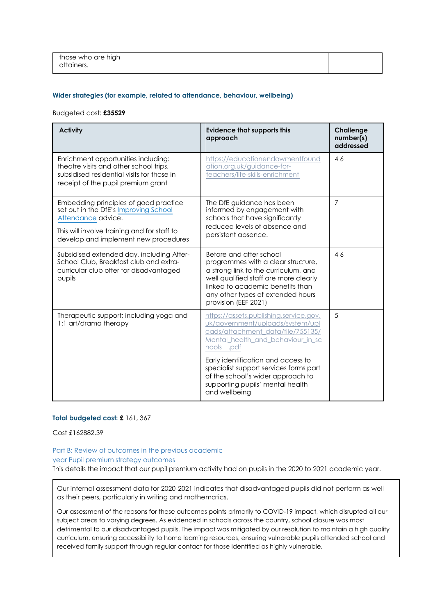| those who are high |  |
|--------------------|--|
| attainers.         |  |
|                    |  |

#### **Wider strategies (for example, related to attendance, behaviour, wellbeing)**

#### Budgeted cost: **£35529**

| <b>Activity</b>                                                                                                                                                                             | <b>Evidence that supports this</b><br>approach                                                                                                                                                                                                  | Challenge<br>number(s)<br>addressed |
|---------------------------------------------------------------------------------------------------------------------------------------------------------------------------------------------|-------------------------------------------------------------------------------------------------------------------------------------------------------------------------------------------------------------------------------------------------|-------------------------------------|
| Enrichment opportunities including:<br>theatre visits and other school trips,<br>subsidised residential visits for those in<br>receipt of the pupil premium grant                           | https://educationendowmentfound<br>ation.org.uk/guidance-for-<br>teachers/life-skills-enrichment                                                                                                                                                | 46                                  |
| Embedding principles of good practice<br>set out in the DfE's Improving School<br>Attendance advice.<br>This will involve training and for staff to<br>develop and implement new procedures | The DfE guidance has been<br>informed by engagement with<br>schools that have significantly<br>reduced levels of absence and<br>persistent absence.                                                                                             | $\overline{7}$                      |
| Subsidised extended day, including After-<br>School Club, Breakfast club and extra-<br>curricular club offer for disadvantaged<br>pupils                                                    | Before and after school<br>programmes with a clear structure,<br>a strong link to the curriculum, and<br>well qualified staff are more clearly<br>linked to academic benefits than<br>any other types of extended hours<br>provision (EEF 2021) | 46                                  |
| Therapeutic support; including yoga and<br>1:1 art/drama therapy                                                                                                                            | https://assets.publishing.service.gov.<br>uk/government/uploads/system/upl<br>oads/attachment_data/file/755135/<br>Mental health and behaviour in sc<br>hools__.pdf                                                                             | 5                                   |
|                                                                                                                                                                                             | Early identification and access to<br>specialist support services forms part<br>of the school's wider approach to<br>supporting pupils' mental health<br>and wellbeing                                                                          |                                     |

#### **Total budgeted cost: £** 161, 367

Cost £162882.39

#### Part B: Review of outcomes in the previous academic

#### year Pupil premium strategy outcomes

This details the impact that our pupil premium activity had on pupils in the 2020 to 2021 academic year.

Our internal assessment data for 2020-2021 indicates that disadvantaged pupils did not perform as well as their peers, particularly in writing and mathematics.

Our assessment of the reasons for these outcomes points primarily to COVID-19 impact, which disrupted all our subject areas to varying degrees. As evidenced in schools across the country, school closure was most detrimental to our disadvantaged pupils. The impact was mitigated by our resolution to maintain a high quality curriculum, ensuring accessibility to home learning resources, ensuring vulnerable pupils attended school and received family support through regular contact for those identified as highly vulnerable.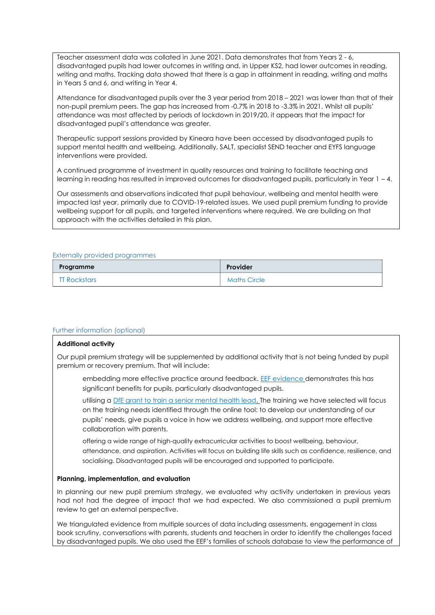Teacher assessment data was collated in June 2021. Data demonstrates that from Years 2 - 6, disadvantaged pupils had lower outcomes in writing and, in Upper KS2, had lower outcomes in reading, writing and maths. Tracking data showed that there is a gap in attainment in reading, writing and maths in Years 5 and 6, and writing in Year 4.

Attendance for disadvantaged pupils over the 3 year period from 2018 – 2021 was lower than that of their non-pupil premium peers. The gap has increased from -0.7% in 2018 to -3.3% in 2021. Whilst all pupils' attendance was most affected by periods of lockdown in 2019/20, it appears that the impact for disadvantaged pupil's attendance was greater.

Therapeutic support sessions provided by Kineara have been accessed by disadvantaged pupils to support mental health and wellbeing. Additionally, SALT, specialist SEND teacher and EYFS language interventions were provided.

A continued programme of investment in quality resources and training to facilitate teaching and learning in reading has resulted in improved outcomes for disadvantaged pupils, particularly in Year 1 – 4.

Our assessments and observations indicated that pupil behaviour, wellbeing and mental health were impacted last year, primarily due to COVID-19-related issues. We used pupil premium funding to provide wellbeing support for all pupils, and targeted interventions where required. We are building on that approach with the activities detailed in this plan.

#### Externally provided programmes

| Programme           | Provider            |
|---------------------|---------------------|
| <b>TT Rockstars</b> | <b>Maths Circle</b> |

## Further information (optional)

#### **Additional activity**

Our pupil premium strategy will be supplemented by additional activity that is not being funded by pupil premium or recovery premium. That will include:

embedding more effective practice around feedback. [EEF evidence](https://educationendowmentfoundation.org.uk/education-evidence/teaching-learning-toolkit/feedback) demonstrates this has significant benefits for pupils, particularly disadvantaged pupils.

utilising a [DfE grant to train a senior mental health lead.](https://www.gov.uk/guidance/senior-mental-health-lead-training) The training we have selected will focus on the training needs identified through the online tool: to develop our understanding of our pupils' needs, give pupils a voice in how we address wellbeing, and support more effective collaboration with parents.

offering a wide range of high-quality extracurricular activities to boost wellbeing, behaviour, attendance, and aspiration. Activities will focus on building life skills such as confidence, resilience, and socialising. Disadvantaged pupils will be encouraged and supported to participate.

#### **Planning, implementation, and evaluation**

In planning our new pupil premium strategy, we evaluated why activity undertaken in previous years had not had the degree of impact that we had expected. We also commissioned a pupil premium review to get an external perspective.

We triangulated evidence from multiple sources of data including assessments, engagement in class book scrutiny, conversations with parents, students and teachers in order to identify the challenges faced by disadvantaged pupils. We also used the EEF's families of schools database to view the performance of